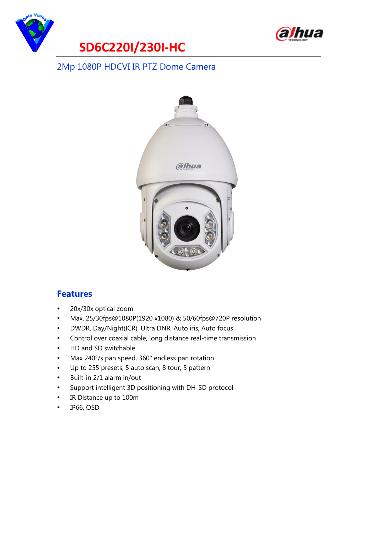



#### 2Mp 1080P HDCVI IR PTZ Dome Camera



#### **Features**

- $\bullet$ 20x/30x optical zoom
- $\bullet$ Max. 25/30fps@1080P(1920 x1080) & 50/60fps@720P resolution
- $\bullet$ DWDR, Day/Night(ICR), Ultra DNR, Auto iris, Auto focus
- $\bullet$ Control over coaxial cable, long distance real-time transmission
- $\bullet$ HD and SD switchable
- $\bullet$ Max 240°/s pan speed, 360° endless pan rotation
- $\bullet$ Up to 255 presets, 5 auto scan, 8 tour, 5 pattern
- $\bullet$ Built-in 2/1 alarm in/out
- $\bullet$ Support intelligent 3D positioning with DH-SD protocol
- $\bullet$ IR Distance up to 100m
- $\bullet$ IP66, OSD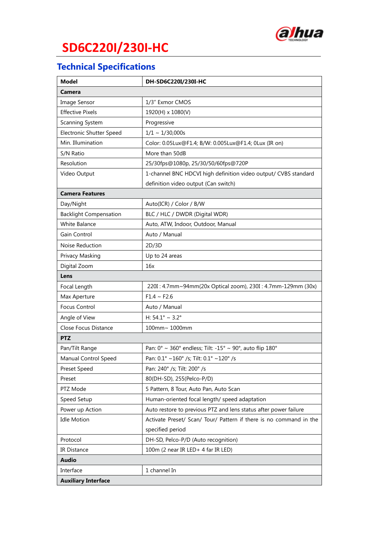

# **SD6C220I/230I-HC**

## **Technical Specifications**

| <b>Model</b>                    | DH-SD6C220I/230I-HC                                                |
|---------------------------------|--------------------------------------------------------------------|
| <b>Camera</b>                   |                                                                    |
| Image Sensor                    | 1/3" Exmor CMOS                                                    |
| <b>Effective Pixels</b>         | 1920(H) x 1080(V)                                                  |
| Scanning System                 | Progressive                                                        |
| <b>Electronic Shutter Speed</b> | $1/1 \sim 1/30,000s$                                               |
| Min. Illumination               | Color: 0.05Lux@F1.4; B/W: 0.005Lux@F1.4; 0Lux (IR on)              |
| S/N Ratio                       | More than 50dB                                                     |
| Resolution                      | 25/30fps@1080p, 25/30/50/60fps@720P                                |
| Video Output                    | 1-channel BNC HDCVI high definition video output/ CVBS standard    |
|                                 | definition video output (Can switch)                               |
| <b>Camera Features</b>          |                                                                    |
| Day/Night                       | Auto(ICR) / Color / B/W                                            |
| <b>Backlight Compensation</b>   | BLC / HLC / DWDR (Digital WDR)                                     |
| White Balance                   | Auto, ATW, Indoor, Outdoor, Manual                                 |
| Gain Control                    | Auto / Manual                                                      |
| Noise Reduction                 | 2D/3D                                                              |
| Privacy Masking                 | Up to 24 areas                                                     |
| Digital Zoom                    | 16x                                                                |
| Lens                            |                                                                    |
| Focal Length                    | 220I: 4.7mm~94mm(20x Optical zoom), 230I: 4.7mm-129mm (30x)        |
| Max Aperture                    | $F1.4 \sim F2.6$                                                   |
| <b>Focus Control</b>            | Auto / Manual                                                      |
| Angle of View                   | H: $54.1^{\circ} \sim 3.2^{\circ}$                                 |
| Close Focus Distance            | 100mm~ 1000mm                                                      |
| <b>PTZ</b>                      |                                                                    |
| Pan/Tilt Range                  | Pan: 0° ~ 360° endless; Tilt: -15° ~ 90°, auto flip 180°           |
| Manual Control Speed            | Pan: 0.1° ~160° /s; Tilt: 0.1° ~120° /s                            |
| Preset Speed                    | Pan: 240° /s; Tilt: 200° /s                                        |
| Preset                          | 80(DH-SD), 255(Pelco-P/D)                                          |
| PTZ Mode                        | 5 Pattern, 8 Tour, Auto Pan, Auto Scan                             |
| Speed Setup                     | Human-oriented focal length/ speed adaptation                      |
| Power up Action                 | Auto restore to previous PTZ and lens status after power failure   |
| <b>Idle Motion</b>              | Activate Preset/ Scan/ Tour/ Pattern if there is no command in the |
|                                 | specified period                                                   |
| Protocol                        | DH-SD, Pelco-P/D (Auto recognition)                                |
| IR Distance                     | 100m (2 near IR LED+ 4 far IR LED)                                 |
| <b>Audio</b>                    |                                                                    |
| Interface                       | 1 channel In                                                       |
| <b>Auxiliary Interface</b>      |                                                                    |